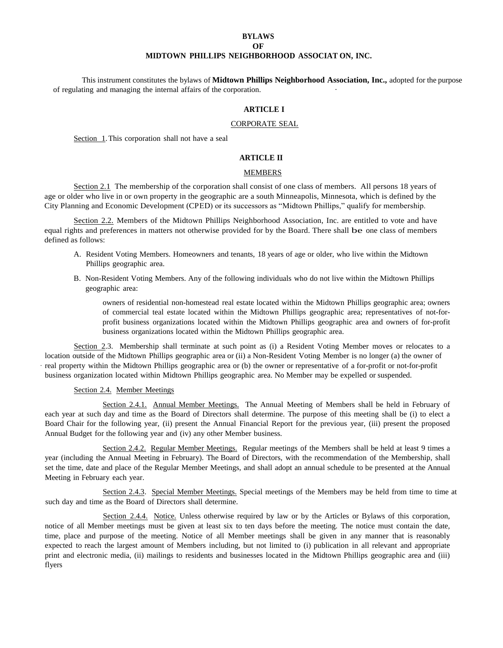## **BYLAWS OF MIDTOWN PHILLIPS NEIGHBORHOOD ASSOCIAT ON, INC.**

This instrument constitutes the bylaws of **Midtown Phillips Neighborhood Association, Inc.,** adopted for the purpose of regulating and managing the internal affairs of the corporation. ·

## **ARTICLE I**

### CORPORATE SEAL

Section 1.This corporation shall not have a seal

# **ARTICLE II**

## MEMBERS

Section 2.1 The membership of the corporation shall consist of one class of members. All persons 18 years of age or older who live in or own property in the geographic are a south Minneapolis, Minnesota, which is defined by the City Planning and Economic Development (CPED) or its successors as "Midtown Phillips," qualify for membership.

Section 2.2. Members of the Midtown Phillips Neighborhood Association, Inc. are entitled to vote and have equal rights and preferences in matters not otherwise provided for by the Board. There shall be one class of members defined as follows:

- A. Resident Voting Members. Homeowners and tenants, 18 years of age or older, who live within the Midtown Phillips geographic area.
- B. Non-Resident Voting Members. Any of the following individuals who do not live within the Midtown Phillips geographic area:

owners of residential non-homestead real estate located within the Midtown Phillips geographic area; owners of commercial teal estate located within the Midtown Phillips geographic area; representatives of not-forprofit business organizations located within the Midtown Phillips geographic area and owners of for-profit business organizations located within the Midtown Phillips geographic area.

Section 2.3. Membership shall terminate at such point as (i) a Resident Voting Member moves or relocates to a location outside of the Midtown Phillips geographic area or (ii) a Non-Resident Voting Member is no longer (a) the owner of · real property within the Midtown Phillips geographic area or (b) the owner or representative of a for-profit or not-for-profit business organization located within Midtown Phillips geographic area. No Member may be expelled or suspended.

## Section 2.4. Member Meetings

Section 2.4.1. Annual Member Meetings. The Annual Meeting of Members shall be held in February of each year at such day and time as the Board of Directors shall determine. The purpose of this meeting shall be (i) to elect a Board Chair for the following year, (ii) present the Annual Financial Report for the previous year, (iii) present the proposed Annual Budget for the following year and (iv) any other Member business.

Section 2.4.2. Regular Member Meetings. Regular meetings of the Members shall be held at least 9 times a year (including the Annual Meeting in February). The Board of Directors, with the recommendation of the Membership, shall set the time, date and place of the Regular Member Meetings, and shall adopt an annual schedule to be presented at the Annual Meeting in February each year.

Section 2.4.3. Special Member Meetings. Special meetings of the Members may be held from time to time at such day and time as the Board of Directors shall determine.

Section 2.4.4. Notice. Unless otherwise required by law or by the Articles or Bylaws of this corporation, notice of all Member meetings must be given at least six to ten days before the meeting. The notice must contain the date, time, place and purpose of the meeting. Notice of all Member meetings shall be given in any manner that is reasonably expected to reach the largest amount of Members including, but not limited to (i) publication in all relevant and appropriate print and electronic media, (ii) mailings to residents and businesses located in the Midtown Phillips geographic area and (iii) flyers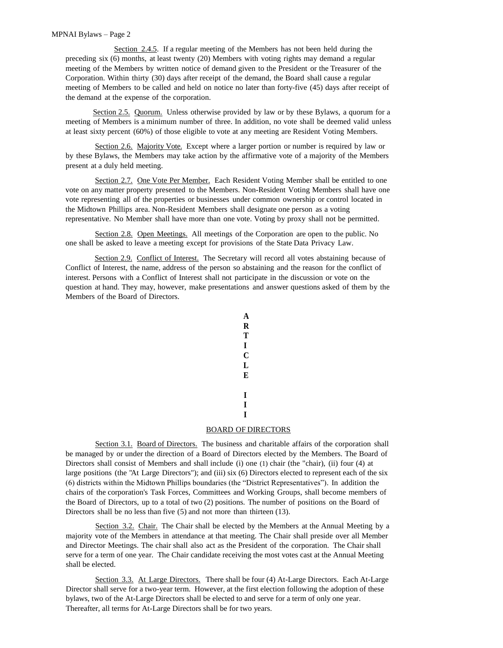Section 2.4.5. If a regular meeting of the Members has not been held during the preceding six (6) months, at least twenty (20) Members with voting rights may demand a regular meeting of the Members by written notice of demand given to the President or the Treasurer of the Corporation. Within thirty (30) days after receipt of the demand, the Board shall cause a regular meeting of Members to be called and held on notice no later than forty-five (45) days after receipt of the demand at the expense of the corporation.

Section 2.5. Quorum. Unless otherwise provided by law or by these Bylaws, a quorum for a meeting of Members is a minimum number of three. In addition, no vote shall be deemed valid unless at least sixty percent (60%) of those eligible to vote at any meeting are Resident Voting Members.

Section 2.6. Majority Vote. Except where a larger portion or number is required by law or by these Bylaws, the Members may take action by the affirmative vote of a majority of the Members present at a duly held meeting.

Section 2.7. One Vote Per Member. Each Resident Voting Member shall be entitled to one vote on any matter property presented to the Members. Non-Resident Voting Members shall have one vote representing all of the properties or businesses under common ownership or control located in the Midtown Phillips area. Non-Resident Members shall designate one person as a voting representative. No Member shall have more than one vote. Voting by proxy shall not be permitted.

Section 2.8. Open Meetings. All meetings of the Corporation are open to the public. No one shall be asked to leave a meeting except for provisions of the State Data Privacy Law.

Section 2.9. Conflict of Interest. The Secretary will record all votes abstaining because of Conflict of Interest, the name, address of the person so abstaining and the reason for the conflict of interest. Persons with a Conflict of Interest shall not participate in the discussion or vote on the question at hand. They may, however, make presentations and answer questions asked of them by the Members of the Board of Directors.



## BOARD OF DIRECTORS

Section 3.1. Board of Directors. The business and charitable affairs of the corporation shall be managed by or under the direction of a Board of Directors elected by the Members. The Board of Directors shall consist of Members and shall include (i) one (1) chair (the "chair), (ii) four (4) at large positions (the "At Large Directors"); and (iii) six (6) Directors elected to represent each of the six (6) districts within the Midtown Phillips boundaries (the "District Representatives"). In addition the chairs of the corporation's Task Forces, Committees and Working Groups, shall become members of the Board of Directors, up to a total of two (2) positions. The number of positions on the Board of Directors shall be no less than five (5) and not more than thirteen (13).

Section 3.2. Chair. The Chair shall be elected by the Members at the Annual Meeting by a majority vote of the Members in attendance at that meeting. The Chair shall preside over all Member and Director Meetings. The chair shall also act as the President of the corporation. The Chair shall serve for a term of one year. The Chair candidate receiving the most votes cast at the Annual Meeting shall be elected.

Section 3.3. At Large Directors. There shall be four (4) At-Large Directors. Each At-Large Director shall serve for a two-year term. However, at the first election following the adoption of these bylaws, two of the At-Large Directors shall be elected to and serve for a term of only one year. Thereafter, all terms for At-Large Directors shall be for two years.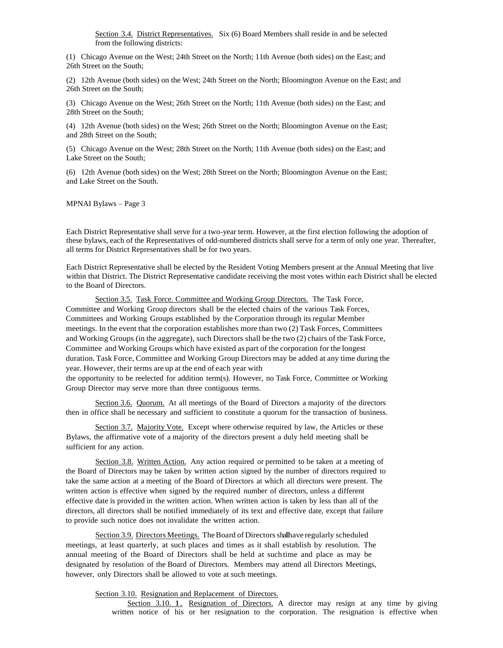Section 3.4. District Representatives. Six (6) Board Members shall reside in and be selected from the following districts:

(1) Chicago Avenue on the West; 24th Street on the North; 11th Avenue (both sides) on the East; and 26th Street on the South;

(2) 12th Avenue (both sides) on the West; 24th Street on the North; Bloomington Avenue on the East; and 26th Street on the South;

(3) Chicago Avenue on the West; 26th Street on the North; 11th Avenue (both sides) on the East; and 28th Street on the South;

(4) 12th Avenue (both sides) on the West; 26th Street on the North; Bloomington Avenue on the East; and 28th Street on the South;

(5) Chicago Avenue on the West; 28th Street on the North; 11th Avenue (both sides) on the East; and Lake Street on the South;

(6) 12th Avenue (both sides) on the West; 28th Street on the North; Bloomington Avenue on the East; and Lake Street on the South.

MPNAI Bylaws – Page 3

Each District Representative shall serve for a two-year term. However, at the first election following the adoption of these bylaws, each of the Representatives of odd-numbered districts shall serve for a term of only one year. Thereafter, all terms for District Representatives shall be for two years.

Each District Representative shall be elected by the Resident Voting Members present at the Annual Meeting that live within that District. The District Representative candidate receiving the most votes within each District shall be elected to the Board of Directors.

Section 3.5. Task Force. Committee and Working Group Directors. The Task Force, Committee and Working Group directors shall be the elected chairs of the various Task Forces, Committees and Working Groups established by the Corporation through itsregular Member meetings. In the event that the corporation establishes more than two (2) Task Forces, Committees and Working Groups (in the aggregate), such Directors shall be the two (2) chairs of the Task Force, Committee and Working Groups which have existed as part of the corporation for the longest duration. Task Force, Committee and Working Group Directors may be added at any time during the year. However, their terms are up at the end of each year with the opportunity to be reelected for addition term(s). However, no Task Force, Committee or Working Group Director may serve more than three contiguous terms.

Section 3.6. Quorum. At all meetings of the Board of Directors a majority of the directors then in office shall be necessary and sufficient to constitute a quorum for the transaction of business.

Section 3.7. Majority Vote. Except where otherwise required by law, the Articles or these Bylaws, the affirmative vote of a majority of the directors present a duly held meeting shall be sufficient for any action.

Section 3.8. Written Action. Any action required or permitted to be taken at a meeting of the Board of Directors may be taken by written action signed by the number of directors required to take the same action at a meeting of the Board of Directors at which all directors were present. The written action is effective when signed by the required number of directors, unless a different effective date is provided in the written action. When written action is taken by less than all of the directors, all directors shall be notified immediately of its text and effective date, except that failure to provide such notice does not invalidate the written action.

Section 3.9. Directors Meetings. The Board of Directors shallhave regularly scheduled meetings, at least quarterly, at such places and times as it shall establish by resolution. The annual meeting of the Board of Directors shall be held at suchtime and place as may be designated by resolution of the Board of Directors. Members may attend all Directors Meetings, however, only Directors shall be allowed to vote at such meetings.

Section 3.10. Resignation and Replacement of Directors.

Section 3.10. 1. Resignation of Directors. A director may resign at any time by giving written notice of his or her resignation to the corporation. The resignation is effective when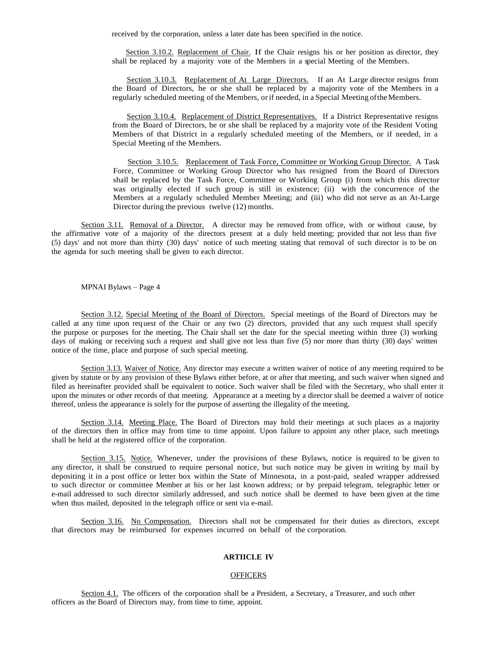received by the corporation, unless a later date has been specified in the notice.

 Section 3.10.2. Replacement of Chair. If the Chair resigns his or her position as director, they shall be replaced by a majority vote of the Members in a special Meeting of the Members.

 Section 3.10.3. Replacement of At Large Directors. If an At Large director resigns from the Board of Directors, he or she shall be replaced by a majority vote of the Members in a regularly scheduled meeting of the Members, orif needed, in a Special Meeting oftheMembers.

 Section 3.10.4. Replacement of District Representatives. If a District Representative resigns from the Board of Directors, he or she shall be replaced by a majority vote of the Resident Voting Members of that District in a regularly scheduled meeting of the Members, or if needed, in a Special Meeting of the Members.

 Section 3.10.5. Replacement of Task Force, Committee or Working Group Director. A Task Force, Committee or Working Group Director who has resigned from the Board of Directors shall be replaced by the Task Force, Committee or Working Group (i) from which this director was originally elected if such group is still in existence; (ii) with the concurrence of the Members at a regularly scheduled Member Meeting; and (iii) who did not serve as an At-Large Director during the previous twelve (12) months.

Section 3.11. Removal of a Director. A director may be removed from office, with or without cause, by the affirmative vote of a majority of the directors present at a duly held meeting; provided that not less than five (5) days' and not more than thirty (30) days' notice of such meeting stating that removal of such director is to be on the agenda for such meeting shall be given to each director.

MPNAI Bylaws – Page 4

Section 3.12. Special Meeting of the Board of Directors. Special meetings of the Board of Directors may be called at any time upon req uest of the Chair or any two (2) directors, provided that any such request shall specify the purpose or purposes for the meeting. The Chair shall set the date for the special meeting within three (3) working days of making or receiving such a request and shall give not less than five (5) nor more than thirty (30) days' written notice of the time, place and purpose of such special meeting.

Section 3.13. Waiver of Notice. Any director may execute a written waiver of notice of any meeting required to be given by statute or by any provision of these Bylaws either before, at or after that meeting, and such waiver when signed and filed as hereinafter provided shall be equivalent to notice. Such waiver shall be filed with the Secretary, who shall enter it upon the minutes or other records of that meeting. Appearance at a meeting by a director shall be deemed a waiver of notice thereof, unless the appearance is solely for the purpose of asserting the illegality of the meeting.

Section 3.14. Meeting Place. The Board of Directors may hold their meetings at such places as a majority of the directors then in office may from time to time appoint. Upon failure to appoint any other place, such meetings shall be held at the registered office of the corporation.

Section 3.15. Notice. Whenever, under the provisions of these Bylaws, notice is required to be given to any director, it shall be construed to require personal notice, but such notice may be given in writing by mail by depositing it in a post office or letter box within the State of Minnesota, in a post-paid, sealed wrapper addressed to such director or committee Member at his or her last known address; or by prepaid telegram, telegraphic letter or e-mail addressed to such director similarly addressed, and such notice shall be deemed to have been given at the time when thus mailed, deposited in the telegraph office or sent via e-mail.

Section 3.16. No Compensation. Directors shall not be compensated for their duties as directors, except that directors may be reimbursed for expenses incurred on behalf of the corporation.

## **ARTIICLE IV**

## **OFFICERS**

Section 4.1. The officers of the corporation shall be a President, a Secretary, a Treasurer, and such other officers as the Board of Directors may, from time to time, appoint.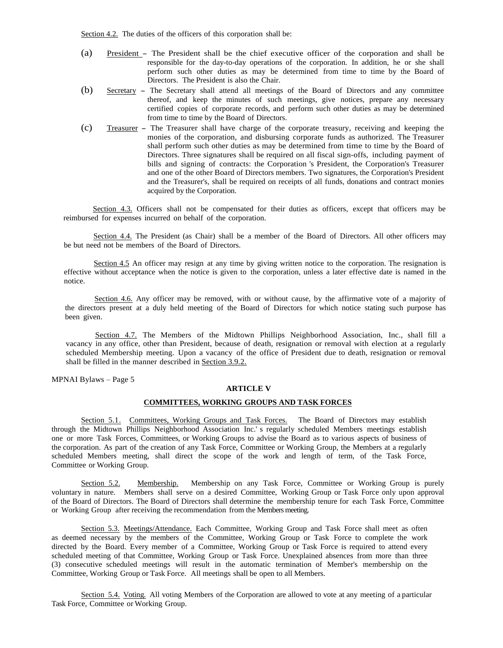Section 4.2. The duties of the officers of this corporation shall be:

- (a) President The President shall be the chief executive officer of the corporation and shall be responsible for the day-to-day operations of the corporation. In addition, he or she shall perform such other duties as may be determined from time to time by the Board of Directors. The President is also the Chair.
- (b) Secretary The Secretary shall attend all meetings of the Board of Directors and any committee thereof, and keep the minutes of such meetings, give notices, prepare any necessary certified copies of corporate records, and perform such other duties as may be determined from time to time by the Board of Directors.
- (c) Treasurer The Treasurer shall have charge of the corporate treasury, receiving and keeping the monies of the corporation, and disbursing corporate funds as authorized. The Treasurer shall perform such other duties as may be determined from time to time by the Board of Directors. Three signatures shall be required on all fiscal sign-offs, including payment of bills and signing of contracts: the Corporation 's President, the Corporation's Treasurer and one of the other Board of Directors members. Two signatures, the Corporation's President and the Treasurer's, shall be required on receipts of all funds, donations and contract monies acquired by the Corporation.

Section 4.3. Officers shall not be compensated for their duties as officers, except that officers may be reimbursed for expenses incurred on behalf of the corporation.

Section 4.4. The President (as Chair) shall be a member of the Board of Directors. All other officers may be but need not be members of the Board of Directors.

Section 4.5 An officer may resign at any time by giving written notice to the corporation. The resignation is effective without acceptance when the notice is given to the corporation, unless a later effective date is named in the notice.

Section 4.6. Any officer may be removed, with or without cause, by the affirmative vote of a majority of the directors present at a duly held meeting of the Board of Directors for which notice stating such purpose has been given.

Section 4.7. The Members of the Midtown Phillips Neighborhood Association, Inc., shall fill a vacancy in any office, other than President, because of death, resignation or removal with election at a regularly scheduled Membership meeting. Upon a vacancy of the office of President due to death, resignation or removal shall be filled in the manner described in Section 3.9.2.

MPNAI Bylaws – Page 5

#### **ARTICLE V**

## **COMMITTEES, WORKING GROUPS AND TASK FORCES**

Section 5.1. Committees, Working Groups and Task Forces. The Board of Directors may establish through the Midtown Phillips Neighborhood Association Inc.' s regularly scheduled Members meetings establish one or more Task Forces, Committees, or Working Groups to advise the Board as to various aspects of business of the corporation. As part of the creation of any Task Force, Committee or Working Group, the Members at a regularly scheduled Members meeting, shall direct the scope of the work and length of term, of the Task Force, Committee or Working Group.

Section 5.2. Membership. Membership on any Task Force, Committee or Working Group is purely voluntary in nature. Members shall serve on a desired Committee, Working Group or Task Force only upon approval of the Board of Directors. The Board of Directors shall determine the membership tenure for each Task Force, Committee or Working Group after receiving the recommendation from the Members meeting.

Section 5.3. Meetings/Attendance. Each Committee, Working Group and Task Force shall meet as often as deemed necessary by the members of the Committee, Working Group or Task Force to complete the work directed by the Board. Every member of a Committee, Working Group or Task Force is required to attend every scheduled meeting of that Committee, Working Group or Task Force. Unexplained absences from more than three (3) consecutive scheduled meetings will result in the automatic termination of Member's membership on the Committee, Working Group or Task Force. All meetings shall be open to all Members.

Section 5.4. Voting. All voting Members of the Corporation are allowed to vote at any meeting of a particular Task Force, Committee or Working Group.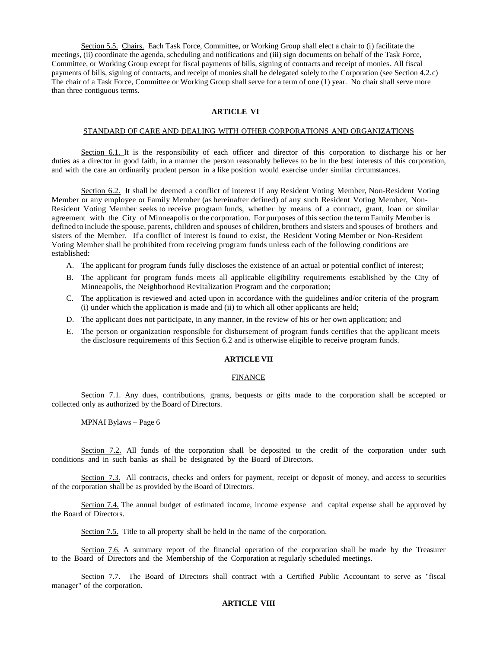Section 5.5. Chairs. Each Task Force, Committee, or Working Group shall elect a chair to (i) facilitate the meetings, (ii) coordinate the agenda, scheduling and notifications and (iii) sign documents on behalf of the Task Force, Committee, or Working Group except for fiscal payments of bills, signing of contracts and receipt of monies. All fiscal payments of bills, signing of contracts, and receipt of monies shall be delegated solely to the Corporation (see Section 4.2.c) The chair of a Task Force, Committee or Working Group shall serve for a term of one (1) year. No chair shall serve more than three contiguous terms.

# **ARTICLE VI**

#### STANDARD OF CARE AND DEALING WITH OTHER CORPORATIONS AND ORGANIZATIONS

Section 6.1. It is the responsibility of each officer and director of this corporation to discharge his or her duties as a director in good faith, in a manner the person reasonably believes to be in the best interests of this corporation, and with the care an ordinarily prudent person in a like position would exercise under similar circumstances.

Section 6.2. It shall be deemed a conflict of interest if any Resident Voting Member, Non-Resident Voting Member or any employee or Family Member (as hereinafter defined) of any such Resident Voting Member, Non-Resident Voting Member seeks to receive program funds, whether by means of a contract, grant, loan or similar agreement with the City of Minneapolis orthe corporation. For purposes of this section the term Family Member is defined to include the spouse, parents, children and spouses of children, brothers and sisters and spouses of brothers and sisters of the Member. If a conflict of interest is found to exist, the Resident Voting Member or Non-Resident Voting Member shall be prohibited from receiving program funds unless each of the following conditions are established:

- A. The applicant for program funds fully discloses the existence of an actual or potential conflict of interest;
- B. The applicant for program funds meets all applicable eligibility requirements established by the City of Minneapolis, the Neighborhood Revitalization Program and the corporation;
- C. The application is reviewed and acted upon in accordance with the guidelines and/or criteria of the program (i) under which the application is made and (ii) to which all other applicants are held;
- D. The applicant does not participate, in any manner, in the review of his or her own application; and
- E. The person or organization responsible for disbursement of program funds certifies that the applicant meets the disclosure requirements of this Section 6.2 and is otherwise eligible to receive program funds.

#### **ARTICLE VII**

#### FINANCE

Section 7.1. Any dues, contributions, grants, bequests or gifts made to the corporation shall be accepted or collected only as authorized by the Board of Directors.

MPNAI Bylaws – Page 6

Section 7.2. All funds of the corporation shall be deposited to the credit of the corporation under such conditions and in such banks as shall be designated by the Board of Directors.

Section 7.3. All contracts, checks and orders for payment, receipt or deposit of money, and access to securities of the corporation shall be as provided by the Board of Directors.

Section 7.4. The annual budget of estimated income, income expense and capital expense shall be approved by the Board of Directors.

Section 7.5. Title to all property shall be held in the name of the corporation.

Section 7.6. A summary report of the financial operation of the corporation shall be made by the Treasurer to the Board of Directors and the Membership of the Corporation at regularly scheduled meetings.

Section 7.7. The Board of Directors shall contract with a Certified Public Accountant to serve as "fiscal manager" of the corporation.